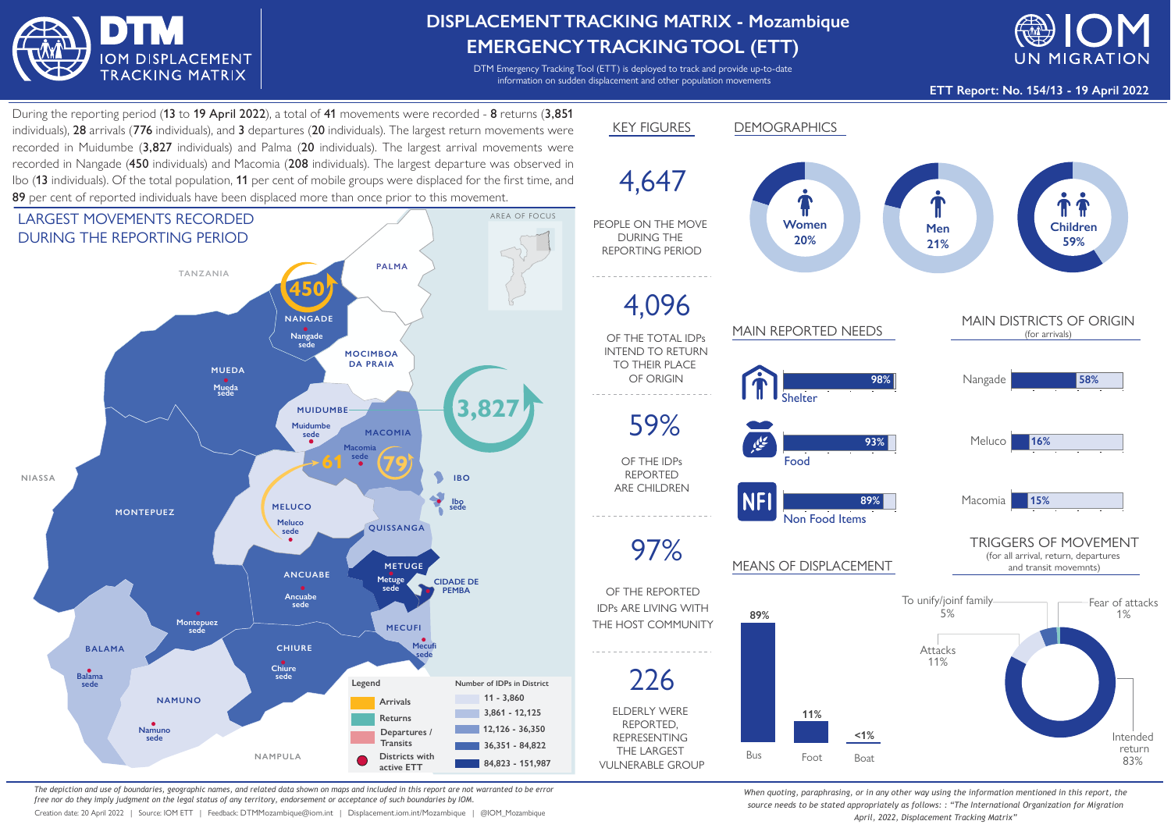

## **DISPLACEMENTTRACKING MATRIX - Mozambique EMERGENCYTRACKINGTOOL (ETT)**

DTM Emergency Tracking Tool (ETT) is deployed to track and provide up-to-date information on sudden displacement and other population movements



**ETT Report: No. 154/13 - 19 April 2022**

During the reporting period (13 to 19 April 2022), a total of 41 movements were recorded - 8 returns (3,851 individuals), 28 arrivals (776 individuals), and 3 departures (20 individuals). The largest return movements were recorded in Muidumbe (3,827 individuals) and Palma (20 individuals). The largest arrival movements were recorded in Nangade (450 individuals) and Macomia (208 individuals). The largest departure was observed in Ibo (13 individuals). Of the total population, 11 per cent of mobile groups were displaced for the first time, and 89 per cent of reported individuals have been displaced more than once prior to this movement.



*The depiction and use of boundaries, geographic names, and related data shown on maps and included in this report are not warranted to be error free nor do they imply judgment on the legal status of any territory, endorsement or acceptance of such boundaries by IOM.*

Creation date: 20 April 2022 | Source: IOM ETT | Feedback: DTMMozambique@iom.int | Displacement.iom.int/Mozambique | @IOM\_Mozambique



*When quoting, paraphrasing, or in any other way using the information mentioned in this report, the source needs to be stated appropriately as follows: : "The International Organization for Migration April, 2022, Displacement Tracking Matrix"*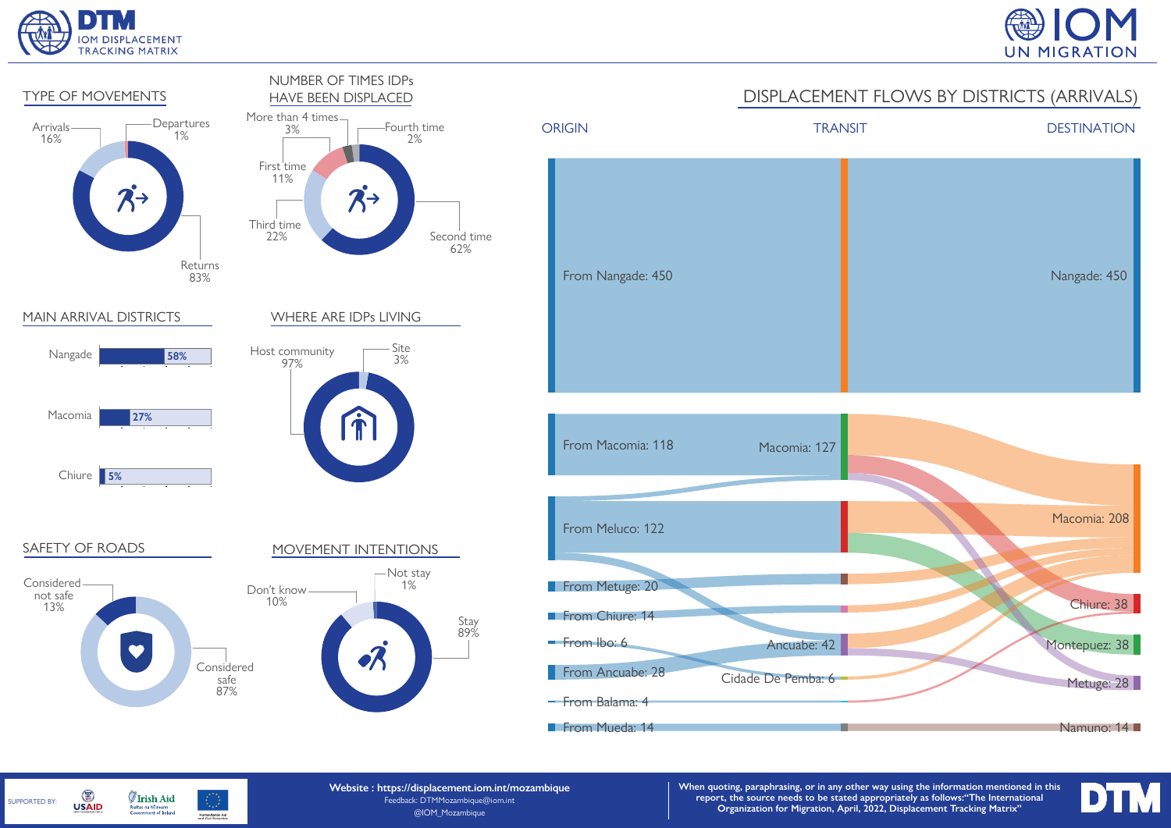

SUPPORTED BY:

G

**USAID** 

**Irish Aid** 

Rialtas na hÉireann<br>Government of Ireland

Humanitarian Aid





**Website : https://displacement.iom.int/mozambique** Feedback: DTMMozambique@iom.int @IOM\_Mozambique

**When quoting, paraphrasing, or in any other way using the information mentioned in this report, the source needs to be stated appropriately as follows:"The International Organization for Migration, April, 2022, Displacement Tracking Matrix"**